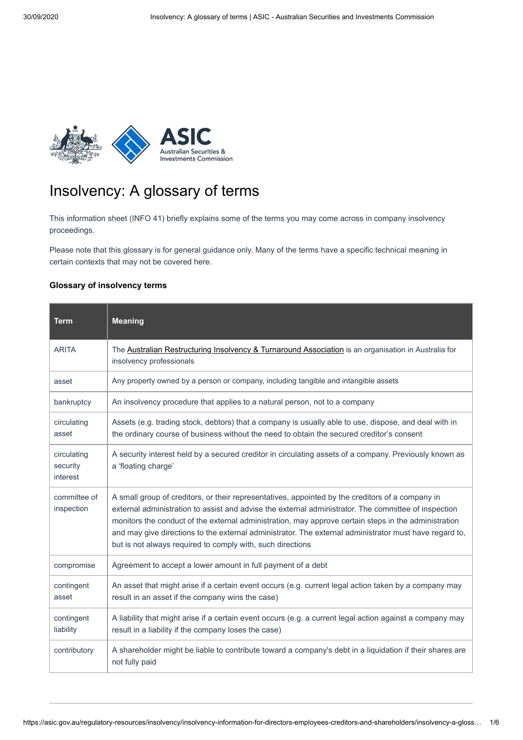

## Insolvency: A glossary of terms

This information sheet (INFO 41) briefly explains some of the terms you may come across in company insolvency proceedings.

Please note that this glossary is for general guidance only. Many of the terms have a specific technical meaning in certain contexts that may not be covered here.

## **Glossary of insolvency terms**

| <b>Term</b>                         | <b>Meaning</b>                                                                                                                                                                                                                                                                                                                                                                                                                                                                           |
|-------------------------------------|------------------------------------------------------------------------------------------------------------------------------------------------------------------------------------------------------------------------------------------------------------------------------------------------------------------------------------------------------------------------------------------------------------------------------------------------------------------------------------------|
| <b>ARITA</b>                        | The Australian Restructuring Insolvency & Turnaround Association is an organisation in Australia for<br>insolvency professionals                                                                                                                                                                                                                                                                                                                                                         |
| asset                               | Any property owned by a person or company, including tangible and intangible assets                                                                                                                                                                                                                                                                                                                                                                                                      |
| bankruptcy                          | An insolvency procedure that applies to a natural person, not to a company                                                                                                                                                                                                                                                                                                                                                                                                               |
| circulating<br>asset                | Assets (e.g. trading stock, debtors) that a company is usually able to use, dispose, and deal with in<br>the ordinary course of business without the need to obtain the secured creditor's consent                                                                                                                                                                                                                                                                                       |
| circulating<br>security<br>interest | A security interest held by a secured creditor in circulating assets of a company. Previously known as<br>a 'floating charge'                                                                                                                                                                                                                                                                                                                                                            |
| committee of<br>inspection          | A small group of creditors, or their representatives, appointed by the creditors of a company in<br>external administration to assist and advise the external administrator. The committee of inspection<br>monitors the conduct of the external administration, may approve certain steps in the administration<br>and may give directions to the external administrator. The external administrator must have regard to,<br>but is not always required to comply with, such directions |
| compromise                          | Agreement to accept a lower amount in full payment of a debt                                                                                                                                                                                                                                                                                                                                                                                                                             |
| contingent<br>asset                 | An asset that might arise if a certain event occurs (e.g. current legal action taken by a company may<br>result in an asset if the company wins the case)                                                                                                                                                                                                                                                                                                                                |
| contingent<br>liability             | A liability that might arise if a certain event occurs (e.g. a current legal action against a company may<br>result in a liability if the company loses the case)                                                                                                                                                                                                                                                                                                                        |
| contributory                        | A shareholder might be liable to contribute toward a company's debt in a liquidation if their shares are<br>not fully paid                                                                                                                                                                                                                                                                                                                                                               |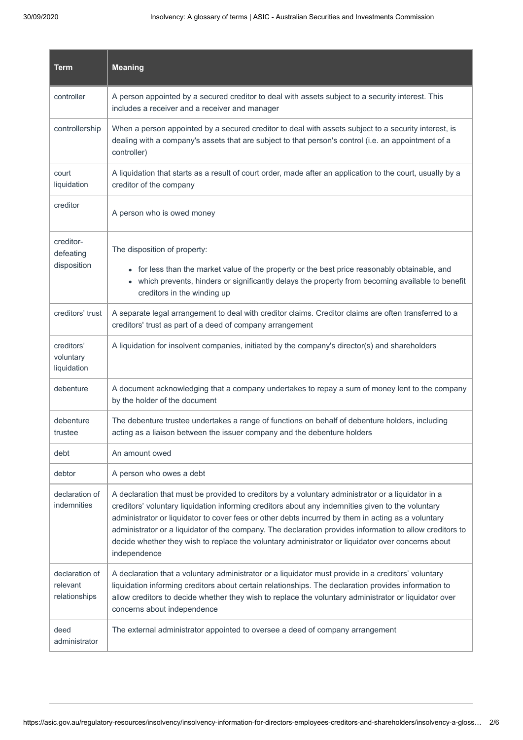| <b>Term</b>                                 | <b>Meaning</b>                                                                                                                                                                                                                                                                                                                                                                                                                                                                                                                                 |
|---------------------------------------------|------------------------------------------------------------------------------------------------------------------------------------------------------------------------------------------------------------------------------------------------------------------------------------------------------------------------------------------------------------------------------------------------------------------------------------------------------------------------------------------------------------------------------------------------|
| controller                                  | A person appointed by a secured creditor to deal with assets subject to a security interest. This<br>includes a receiver and a receiver and manager                                                                                                                                                                                                                                                                                                                                                                                            |
| controllership                              | When a person appointed by a secured creditor to deal with assets subject to a security interest, is<br>dealing with a company's assets that are subject to that person's control (i.e. an appointment of a<br>controller)                                                                                                                                                                                                                                                                                                                     |
| court<br>liquidation                        | A liquidation that starts as a result of court order, made after an application to the court, usually by a<br>creditor of the company                                                                                                                                                                                                                                                                                                                                                                                                          |
| creditor                                    | A person who is owed money                                                                                                                                                                                                                                                                                                                                                                                                                                                                                                                     |
| creditor-<br>defeating<br>disposition       | The disposition of property:<br>• for less than the market value of the property or the best price reasonably obtainable, and<br>• which prevents, hinders or significantly delays the property from becoming available to benefit<br>creditors in the winding up                                                                                                                                                                                                                                                                              |
| creditors' trust                            | A separate legal arrangement to deal with creditor claims. Creditor claims are often transferred to a<br>creditors' trust as part of a deed of company arrangement                                                                                                                                                                                                                                                                                                                                                                             |
| creditors'<br>voluntary<br>liquidation      | A liquidation for insolvent companies, initiated by the company's director(s) and shareholders                                                                                                                                                                                                                                                                                                                                                                                                                                                 |
| debenture                                   | A document acknowledging that a company undertakes to repay a sum of money lent to the company<br>by the holder of the document                                                                                                                                                                                                                                                                                                                                                                                                                |
| debenture<br>trustee                        | The debenture trustee undertakes a range of functions on behalf of debenture holders, including<br>acting as a liaison between the issuer company and the debenture holders                                                                                                                                                                                                                                                                                                                                                                    |
| debt                                        | An amount owed                                                                                                                                                                                                                                                                                                                                                                                                                                                                                                                                 |
| debtor                                      | A person who owes a debt                                                                                                                                                                                                                                                                                                                                                                                                                                                                                                                       |
| declaration of<br>indemnities               | A declaration that must be provided to creditors by a voluntary administrator or a liquidator in a<br>creditors' voluntary liquidation informing creditors about any indemnities given to the voluntary<br>administrator or liquidator to cover fees or other debts incurred by them in acting as a voluntary<br>administrator or a liquidator of the company. The declaration provides information to allow creditors to<br>decide whether they wish to replace the voluntary administrator or liquidator over concerns about<br>independence |
| declaration of<br>relevant<br>relationships | A declaration that a voluntary administrator or a liquidator must provide in a creditors' voluntary<br>liquidation informing creditors about certain relationships. The declaration provides information to<br>allow creditors to decide whether they wish to replace the voluntary administrator or liquidator over<br>concerns about independence                                                                                                                                                                                            |
| deed<br>administrator                       | The external administrator appointed to oversee a deed of company arrangement                                                                                                                                                                                                                                                                                                                                                                                                                                                                  |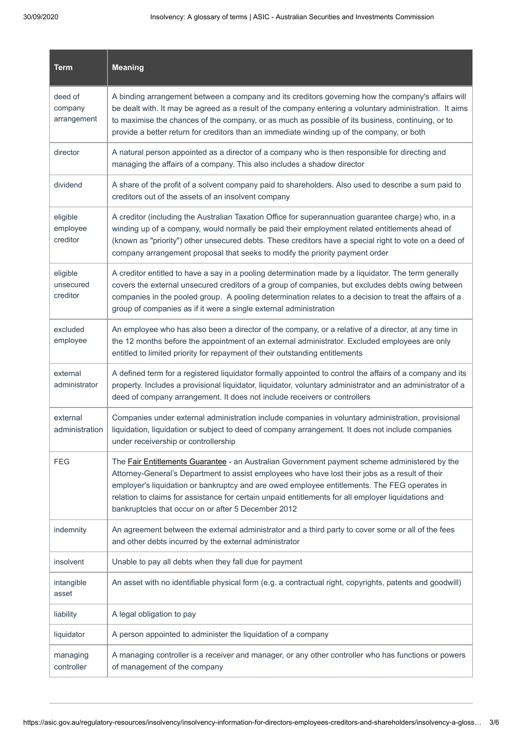| <b>Term</b>                       | <b>Meaning</b>                                                                                                                                                                                                                                                                                                                                                                                                                                                 |
|-----------------------------------|----------------------------------------------------------------------------------------------------------------------------------------------------------------------------------------------------------------------------------------------------------------------------------------------------------------------------------------------------------------------------------------------------------------------------------------------------------------|
| deed of<br>company<br>arrangement | A binding arrangement between a company and its creditors governing how the company's affairs will<br>be dealt with. It may be agreed as a result of the company entering a voluntary administration. It aims<br>to maximise the chances of the company, or as much as possible of its business, continuing, or to<br>provide a better return for creditors than an immediate winding up of the company, or both                                               |
| director                          | A natural person appointed as a director of a company who is then responsible for directing and<br>managing the affairs of a company. This also includes a shadow director                                                                                                                                                                                                                                                                                     |
| dividend                          | A share of the profit of a solvent company paid to shareholders. Also used to describe a sum paid to<br>creditors out of the assets of an insolvent company                                                                                                                                                                                                                                                                                                    |
| eligible<br>employee<br>creditor  | A creditor (including the Australian Taxation Office for superannuation guarantee charge) who, in a<br>winding up of a company, would normally be paid their employment related entitlements ahead of<br>(known as "priority") other unsecured debts. These creditors have a special right to vote on a deed of<br>company arrangement proposal that seeks to modify the priority payment order                                                                |
| eligible<br>unsecured<br>creditor | A creditor entitled to have a say in a pooling determination made by a liquidator. The term generally<br>covers the external unsecured creditors of a group of companies, but excludes debts owing between<br>companies in the pooled group. A pooling determination relates to a decision to treat the affairs of a<br>group of companies as if it were a single external administration                                                                      |
| excluded<br>employee              | An employee who has also been a director of the company, or a relative of a director, at any time in<br>the 12 months before the appointment of an external administrator. Excluded employees are only<br>entitled to limited priority for repayment of their outstanding entitlements                                                                                                                                                                         |
| external<br>administrator         | A defined term for a registered liquidator formally appointed to control the affairs of a company and its<br>property. Includes a provisional liquidator, liquidator, voluntary administrator and an administrator of a<br>deed of company arrangement. It does not include receivers or controllers                                                                                                                                                           |
| external<br>administration        | Companies under external administration include companies in voluntary administration, provisional<br>liquidation, liquidation or subject to deed of company arrangement. It does not include companies<br>under receivership or controllership                                                                                                                                                                                                                |
| <b>FEG</b>                        | The Fair Entitlements Guarantee - an Australian Government payment scheme administered by the<br>Attorney-General's Department to assist employees who have lost their jobs as a result of their<br>employer's liquidation or bankruptcy and are owed employee entitlements. The FEG operates in<br>relation to claims for assistance for certain unpaid entitlements for all employer liquidations and<br>bankruptcies that occur on or after 5 December 2012 |
| indemnity                         | An agreement between the external administrator and a third party to cover some or all of the fees<br>and other debts incurred by the external administrator                                                                                                                                                                                                                                                                                                   |
| insolvent                         | Unable to pay all debts when they fall due for payment                                                                                                                                                                                                                                                                                                                                                                                                         |
| intangible<br>asset               | An asset with no identifiable physical form (e.g. a contractual right, copyrights, patents and goodwill)                                                                                                                                                                                                                                                                                                                                                       |
| liability                         | A legal obligation to pay                                                                                                                                                                                                                                                                                                                                                                                                                                      |
| liquidator                        | A person appointed to administer the liquidation of a company                                                                                                                                                                                                                                                                                                                                                                                                  |
| managing<br>controller            | A managing controller is a receiver and manager, or any other controller who has functions or powers<br>of management of the company                                                                                                                                                                                                                                                                                                                           |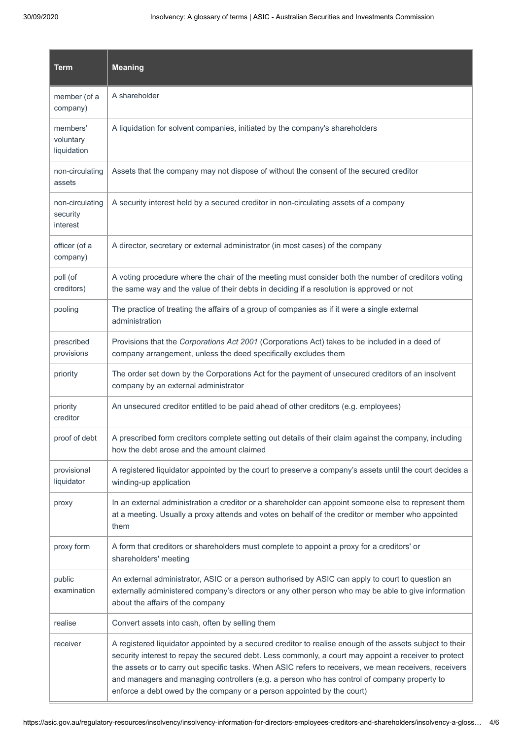| <b>Term</b>                             | <b>Meaning</b>                                                                                                                                                                                                                                                                                                                                                                                                                                                                                       |
|-----------------------------------------|------------------------------------------------------------------------------------------------------------------------------------------------------------------------------------------------------------------------------------------------------------------------------------------------------------------------------------------------------------------------------------------------------------------------------------------------------------------------------------------------------|
| member (of a<br>company)                | A shareholder                                                                                                                                                                                                                                                                                                                                                                                                                                                                                        |
| members'<br>voluntary<br>liquidation    | A liquidation for solvent companies, initiated by the company's shareholders                                                                                                                                                                                                                                                                                                                                                                                                                         |
| non-circulating<br>assets               | Assets that the company may not dispose of without the consent of the secured creditor                                                                                                                                                                                                                                                                                                                                                                                                               |
| non-circulating<br>security<br>interest | A security interest held by a secured creditor in non-circulating assets of a company                                                                                                                                                                                                                                                                                                                                                                                                                |
| officer (of a<br>company)               | A director, secretary or external administrator (in most cases) of the company                                                                                                                                                                                                                                                                                                                                                                                                                       |
| poll (of<br>creditors)                  | A voting procedure where the chair of the meeting must consider both the number of creditors voting<br>the same way and the value of their debts in deciding if a resolution is approved or not                                                                                                                                                                                                                                                                                                      |
| pooling                                 | The practice of treating the affairs of a group of companies as if it were a single external<br>administration                                                                                                                                                                                                                                                                                                                                                                                       |
| prescribed<br>provisions                | Provisions that the Corporations Act 2001 (Corporations Act) takes to be included in a deed of<br>company arrangement, unless the deed specifically excludes them                                                                                                                                                                                                                                                                                                                                    |
| priority                                | The order set down by the Corporations Act for the payment of unsecured creditors of an insolvent<br>company by an external administrator                                                                                                                                                                                                                                                                                                                                                            |
| priority<br>creditor                    | An unsecured creditor entitled to be paid ahead of other creditors (e.g. employees)                                                                                                                                                                                                                                                                                                                                                                                                                  |
| proof of debt                           | A prescribed form creditors complete setting out details of their claim against the company, including<br>how the debt arose and the amount claimed                                                                                                                                                                                                                                                                                                                                                  |
| provisional<br>liquidator               | A registered liquidator appointed by the court to preserve a company's assets until the court decides a<br>winding-up application                                                                                                                                                                                                                                                                                                                                                                    |
| proxy                                   | In an external administration a creditor or a shareholder can appoint someone else to represent them<br>at a meeting. Usually a proxy attends and votes on behalf of the creditor or member who appointed<br>them                                                                                                                                                                                                                                                                                    |
| proxy form                              | A form that creditors or shareholders must complete to appoint a proxy for a creditors' or<br>shareholders' meeting                                                                                                                                                                                                                                                                                                                                                                                  |
| public<br>examination                   | An external administrator, ASIC or a person authorised by ASIC can apply to court to question an<br>externally administered company's directors or any other person who may be able to give information<br>about the affairs of the company                                                                                                                                                                                                                                                          |
| realise                                 | Convert assets into cash, often by selling them                                                                                                                                                                                                                                                                                                                                                                                                                                                      |
| receiver                                | A registered liquidator appointed by a secured creditor to realise enough of the assets subject to their<br>security interest to repay the secured debt. Less commonly, a court may appoint a receiver to protect<br>the assets or to carry out specific tasks. When ASIC refers to receivers, we mean receivers, receivers<br>and managers and managing controllers (e.g. a person who has control of company property to<br>enforce a debt owed by the company or a person appointed by the court) |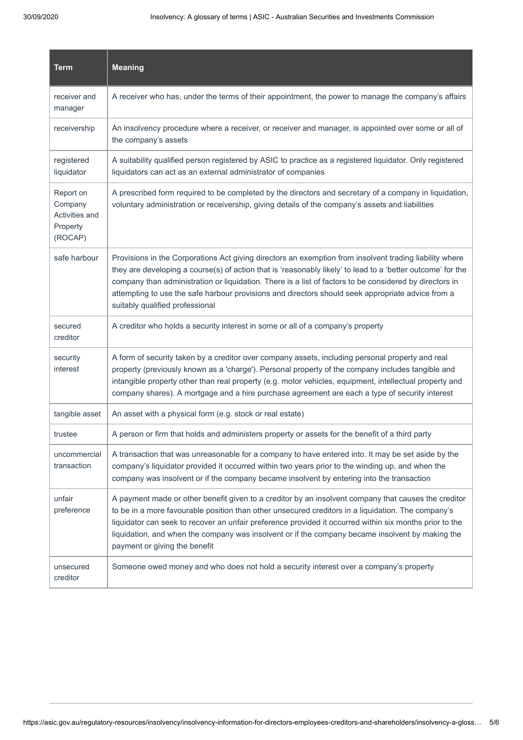| <b>Term</b>                                                          | <b>Meaning</b>                                                                                                                                                                                                                                                                                                                                                                                                                                                            |
|----------------------------------------------------------------------|---------------------------------------------------------------------------------------------------------------------------------------------------------------------------------------------------------------------------------------------------------------------------------------------------------------------------------------------------------------------------------------------------------------------------------------------------------------------------|
| receiver and<br>manager                                              | A receiver who has, under the terms of their appointment, the power to manage the company's affairs                                                                                                                                                                                                                                                                                                                                                                       |
| receivership                                                         | An insolvency procedure where a receiver, or receiver and manager, is appointed over some or all of<br>the company's assets                                                                                                                                                                                                                                                                                                                                               |
| registered<br>liquidator                                             | A suitability qualified person registered by ASIC to practice as a registered liquidator. Only registered<br>liquidators can act as an external administrator of companies                                                                                                                                                                                                                                                                                                |
| Report on<br>Company<br><b>Activities and</b><br>Property<br>(ROCAP) | A prescribed form required to be completed by the directors and secretary of a company in liquidation,<br>voluntary administration or receivership, giving details of the company's assets and liabilities                                                                                                                                                                                                                                                                |
| safe harbour                                                         | Provisions in the Corporations Act giving directors an exemption from insolvent trading liability where<br>they are developing a course(s) of action that is 'reasonably likely' to lead to a 'better outcome' for the<br>company than administration or liquidation. There is a list of factors to be considered by directors in<br>attempting to use the safe harbour provisions and directors should seek appropriate advice from a<br>suitably qualified professional |
| secured<br>creditor                                                  | A creditor who holds a security interest in some or all of a company's property                                                                                                                                                                                                                                                                                                                                                                                           |
| security<br>interest                                                 | A form of security taken by a creditor over company assets, including personal property and real<br>property (previously known as a 'charge'). Personal property of the company includes tangible and<br>intangible property other than real property (e.g. motor vehicles, equipment, intellectual property and<br>company shares). A mortgage and a hire purchase agreement are each a type of security interest                                                        |
| tangible asset                                                       | An asset with a physical form (e.g. stock or real estate)                                                                                                                                                                                                                                                                                                                                                                                                                 |
| trustee                                                              | A person or firm that holds and administers property or assets for the benefit of a third party                                                                                                                                                                                                                                                                                                                                                                           |
| uncommercial<br>transaction                                          | A transaction that was unreasonable for a company to have entered into. It may be set aside by the<br>company's liquidator provided it occurred within two years prior to the winding up, and when the<br>company was insolvent or if the company became insolvent by entering into the transaction                                                                                                                                                                       |
| unfair<br>preference                                                 | A payment made or other benefit given to a creditor by an insolvent company that causes the creditor<br>to be in a more favourable position than other unsecured creditors in a liquidation. The company's<br>liquidator can seek to recover an unfair preference provided it occurred within six months prior to the<br>liquidation, and when the company was insolvent or if the company became insolvent by making the<br>payment or giving the benefit                |
| unsecured<br>creditor                                                | Someone owed money and who does not hold a security interest over a company's property                                                                                                                                                                                                                                                                                                                                                                                    |